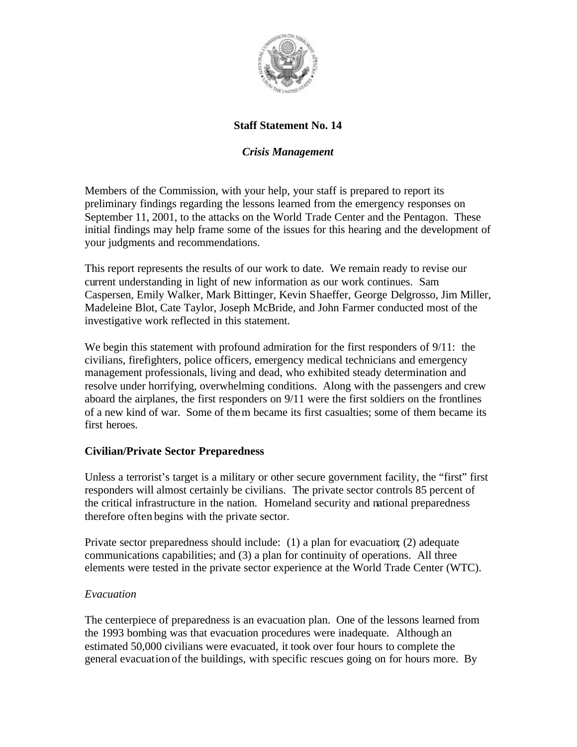

# **Staff Statement No. 14**

### *Crisis Management*

Members of the Commission, with your help, your staff is prepared to report its preliminary findings regarding the lessons learned from the emergency responses on September 11, 2001, to the attacks on the World Trade Center and the Pentagon. These initial findings may help frame some of the issues for this hearing and the development of your judgments and recommendations.

This report represents the results of our work to date. We remain ready to revise our current understanding in light of new information as our work continues. Sam Caspersen, Emily Walker, Mark Bittinger, Kevin Shaeffer, George Delgrosso, Jim Miller, Madeleine Blot, Cate Taylor, Joseph McBride, and John Farmer conducted most of the investigative work reflected in this statement.

We begin this statement with profound admiration for the first responders of  $9/11$ : the civilians, firefighters, police officers, emergency medical technicians and emergency management professionals, living and dead, who exhibited steady determination and resolve under horrifying, overwhelming conditions. Along with the passengers and crew aboard the airplanes, the first responders on 9/11 were the first soldiers on the frontlines of a new kind of war. Some of them became its first casualties; some of them became its first heroes.

# **Civilian/Private Sector Preparedness**

Unless a terrorist's target is a military or other secure government facility, the "first" first responders will almost certainly be civilians. The private sector controls 85 percent of the critical infrastructure in the nation. Homeland security and national preparedness therefore often begins with the private sector.

Private sector preparedness should include: (1) a plan for evacuation; (2) adequate communications capabilities; and (3) a plan for continuity of operations. All three elements were tested in the private sector experience at the World Trade Center (WTC).

#### *Evacuation*

The centerpiece of preparedness is an evacuation plan. One of the lessons learned from the 1993 bombing was that evacuation procedures were inadequate. Although an estimated 50,000 civilians were evacuated, it took over four hours to complete the general evacuation of the buildings, with specific rescues going on for hours more. By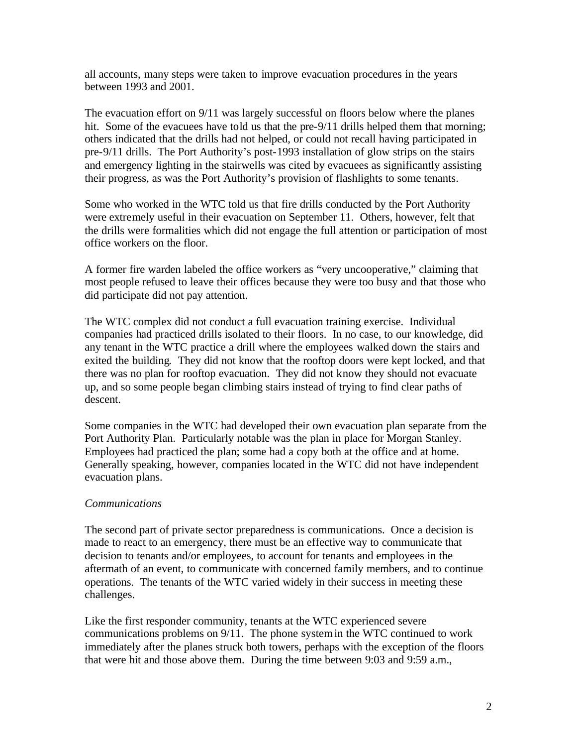all accounts, many steps were taken to improve evacuation procedures in the years between 1993 and 2001.

The evacuation effort on 9/11 was largely successful on floors below where the planes hit. Some of the evacuees have told us that the pre-9/11 drills helped them that morning; others indicated that the drills had not helped, or could not recall having participated in pre-9/11 drills. The Port Authority's post-1993 installation of glow strips on the stairs and emergency lighting in the stairwells was cited by evacuees as significantly assisting their progress, as was the Port Authority's provision of flashlights to some tenants.

Some who worked in the WTC told us that fire drills conducted by the Port Authority were extremely useful in their evacuation on September 11. Others, however, felt that the drills were formalities which did not engage the full attention or participation of most office workers on the floor.

A former fire warden labeled the office workers as "very uncooperative," claiming that most people refused to leave their offices because they were too busy and that those who did participate did not pay attention.

The WTC complex did not conduct a full evacuation training exercise. Individual companies had practiced drills isolated to their floors. In no case, to our knowledge, did any tenant in the WTC practice a drill where the employees walked down the stairs and exited the building. They did not know that the rooftop doors were kept locked, and that there was no plan for rooftop evacuation. They did not know they should not evacuate up, and so some people began climbing stairs instead of trying to find clear paths of descent.

Some companies in the WTC had developed their own evacuation plan separate from the Port Authority Plan. Particularly notable was the plan in place for Morgan Stanley. Employees had practiced the plan; some had a copy both at the office and at home. Generally speaking, however, companies located in the WTC did not have independent evacuation plans.

#### *Communications*

The second part of private sector preparedness is communications. Once a decision is made to react to an emergency, there must be an effective way to communicate that decision to tenants and/or employees, to account for tenants and employees in the aftermath of an event, to communicate with concerned family members, and to continue operations. The tenants of the WTC varied widely in their success in meeting these challenges.

Like the first responder community, tenants at the WTC experienced severe communications problems on 9/11. The phone system in the WTC continued to work immediately after the planes struck both towers, perhaps with the exception of the floors that were hit and those above them. During the time between 9:03 and 9:59 a.m.,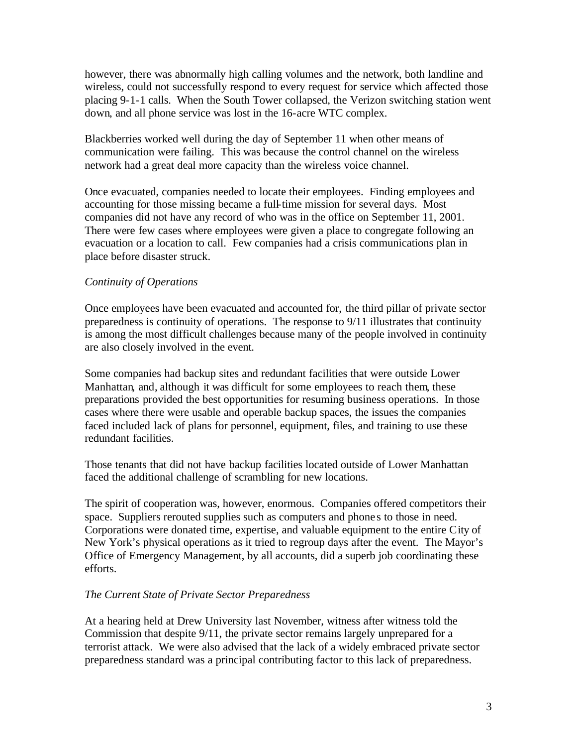however, there was abnormally high calling volumes and the network, both landline and wireless, could not successfully respond to every request for service which affected those placing 9-1-1 calls. When the South Tower collapsed, the Verizon switching station went down, and all phone service was lost in the 16-acre WTC complex.

Blackberries worked well during the day of September 11 when other means of communication were failing. This was because the control channel on the wireless network had a great deal more capacity than the wireless voice channel.

Once evacuated, companies needed to locate their employees. Finding employees and accounting for those missing became a full-time mission for several days. Most companies did not have any record of who was in the office on September 11, 2001. There were few cases where employees were given a place to congregate following an evacuation or a location to call. Few companies had a crisis communications plan in place before disaster struck.

### *Continuity of Operations*

Once employees have been evacuated and accounted for, the third pillar of private sector preparedness is continuity of operations. The response to 9/11 illustrates that continuity is among the most difficult challenges because many of the people involved in continuity are also closely involved in the event.

Some companies had backup sites and redundant facilities that were outside Lower Manhattan, and, although it was difficult for some employees to reach them, these preparations provided the best opportunities for resuming business operations. In those cases where there were usable and operable backup spaces, the issues the companies faced included lack of plans for personnel, equipment, files, and training to use these redundant facilities.

Those tenants that did not have backup facilities located outside of Lower Manhattan faced the additional challenge of scrambling for new locations.

The spirit of cooperation was, however, enormous. Companies offered competitors their space. Suppliers rerouted supplies such as computers and phone s to those in need. Corporations were donated time, expertise, and valuable equipment to the entire City of New York's physical operations as it tried to regroup days after the event. The Mayor's Office of Emergency Management, by all accounts, did a superb job coordinating these efforts.

#### *The Current State of Private Sector Preparedness*

At a hearing held at Drew University last November, witness after witness told the Commission that despite 9/11, the private sector remains largely unprepared for a terrorist attack. We were also advised that the lack of a widely embraced private sector preparedness standard was a principal contributing factor to this lack of preparedness.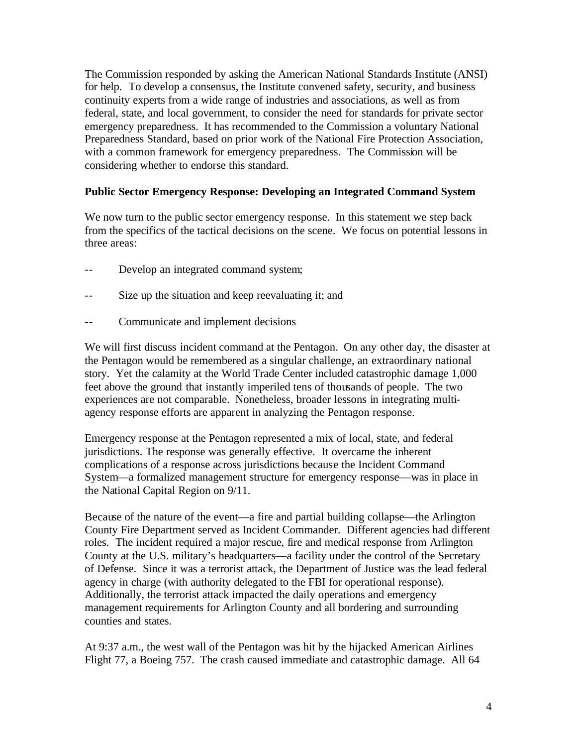The Commission responded by asking the American National Standards Institute (ANSI) for help. To develop a consensus, the Institute convened safety, security, and business continuity experts from a wide range of industries and associations, as well as from federal, state, and local government, to consider the need for standards for private sector emergency preparedness. It has recommended to the Commission a voluntary National Preparedness Standard, based on prior work of the National Fire Protection Association, with a common framework for emergency preparedness. The Commission will be considering whether to endorse this standard.

### **Public Sector Emergency Response: Developing an Integrated Command System**

We now turn to the public sector emergency response. In this statement we step back from the specifics of the tactical decisions on the scene. We focus on potential lessons in three areas:

- -- Develop an integrated command system;
- -- Size up the situation and keep reevaluating it; and
- -- Communicate and implement decisions

We will first discuss incident command at the Pentagon. On any other day, the disaster at the Pentagon would be remembered as a singular challenge, an extraordinary national story. Yet the calamity at the World Trade Center included catastrophic damage 1,000 feet above the ground that instantly imperiled tens of thousands of people. The two experiences are not comparable. Nonetheless, broader lessons in integrating multiagency response efforts are apparent in analyzing the Pentagon response.

Emergency response at the Pentagon represented a mix of local, state, and federal jurisdictions. The response was generally effective. It overcame the inherent complications of a response across jurisdictions because the Incident Command System—a formalized management structure for emergency response—was in place in the National Capital Region on 9/11.

Because of the nature of the event—a fire and partial building collapse—the Arlington County Fire Department served as Incident Commander. Different agencies had different roles. The incident required a major rescue, fire and medical response from Arlington County at the U.S. military's headquarters—a facility under the control of the Secretary of Defense. Since it was a terrorist attack, the Department of Justice was the lead federal agency in charge (with authority delegated to the FBI for operational response). Additionally, the terrorist attack impacted the daily operations and emergency management requirements for Arlington County and all bordering and surrounding counties and states.

At 9:37 a.m., the west wall of the Pentagon was hit by the hijacked American Airlines Flight 77, a Boeing 757. The crash caused immediate and catastrophic damage. All 64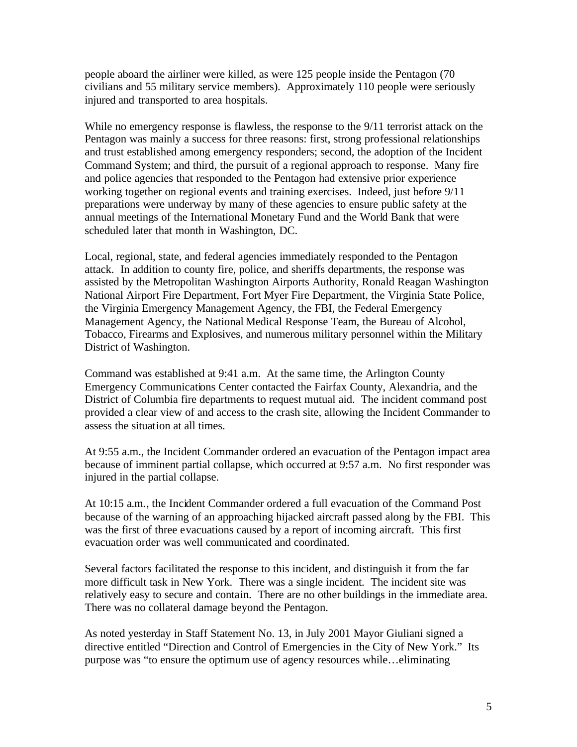people aboard the airliner were killed, as were 125 people inside the Pentagon (70 civilians and 55 military service members). Approximately 110 people were seriously injured and transported to area hospitals.

While no emergency response is flawless, the response to the 9/11 terrorist attack on the Pentagon was mainly a success for three reasons: first, strong professional relationships and trust established among emergency responders; second, the adoption of the Incident Command System; and third, the pursuit of a regional approach to response. Many fire and police agencies that responded to the Pentagon had extensive prior experience working together on regional events and training exercises. Indeed, just before 9/11 preparations were underway by many of these agencies to ensure public safety at the annual meetings of the International Monetary Fund and the World Bank that were scheduled later that month in Washington, DC.

Local, regional, state, and federal agencies immediately responded to the Pentagon attack. In addition to county fire, police, and sheriffs departments, the response was assisted by the Metropolitan Washington Airports Authority, Ronald Reagan Washington National Airport Fire Department, Fort Myer Fire Department, the Virginia State Police, the Virginia Emergency Management Agency, the FBI, the Federal Emergency Management Agency, the National Medical Response Team, the Bureau of Alcohol, Tobacco, Firearms and Explosives, and numerous military personnel within the Military District of Washington.

Command was established at 9:41 a.m. At the same time, the Arlington County Emergency Communications Center contacted the Fairfax County, Alexandria, and the District of Columbia fire departments to request mutual aid. The incident command post provided a clear view of and access to the crash site, allowing the Incident Commander to assess the situation at all times.

At 9:55 a.m., the Incident Commander ordered an evacuation of the Pentagon impact area because of imminent partial collapse, which occurred at 9:57 a.m. No first responder was injured in the partial collapse.

At 10:15 a.m., the Incident Commander ordered a full evacuation of the Command Post because of the warning of an approaching hijacked aircraft passed along by the FBI. This was the first of three evacuations caused by a report of incoming aircraft. This first evacuation order was well communicated and coordinated.

Several factors facilitated the response to this incident, and distinguish it from the far more difficult task in New York. There was a single incident. The incident site was relatively easy to secure and contain. There are no other buildings in the immediate area. There was no collateral damage beyond the Pentagon.

As noted yesterday in Staff Statement No. 13, in July 2001 Mayor Giuliani signed a directive entitled "Direction and Control of Emergencies in the City of New York." Its purpose was "to ensure the optimum use of agency resources while…eliminating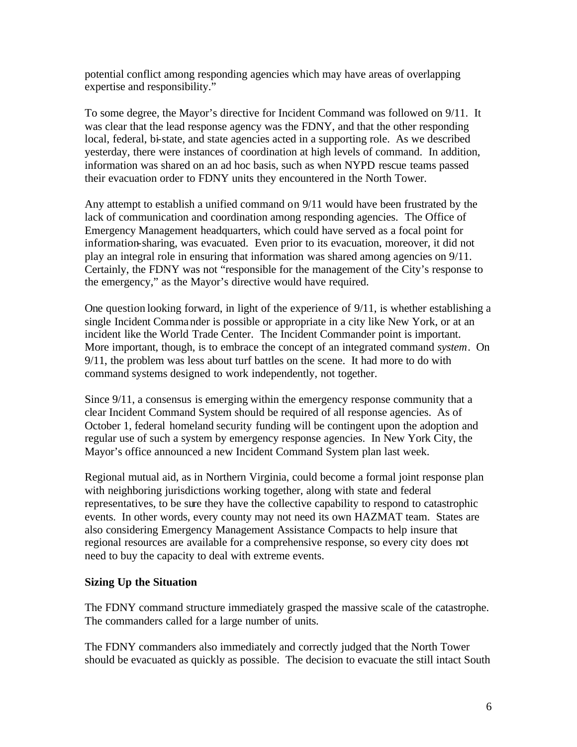potential conflict among responding agencies which may have areas of overlapping expertise and responsibility."

To some degree, the Mayor's directive for Incident Command was followed on 9/11. It was clear that the lead response agency was the FDNY, and that the other responding local, federal, bi-state, and state agencies acted in a supporting role. As we described yesterday, there were instances of coordination at high levels of command. In addition, information was shared on an ad hoc basis, such as when NYPD rescue teams passed their evacuation order to FDNY units they encountered in the North Tower.

Any attempt to establish a unified command on 9/11 would have been frustrated by the lack of communication and coordination among responding agencies. The Office of Emergency Management headquarters, which could have served as a focal point for information-sharing, was evacuated. Even prior to its evacuation, moreover, it did not play an integral role in ensuring that information was shared among agencies on 9/11. Certainly, the FDNY was not "responsible for the management of the City's response to the emergency," as the Mayor's directive would have required.

One question looking forward, in light of the experience of 9/11, is whether establishing a single Incident Commander is possible or appropriate in a city like New York, or at an incident like the World Trade Center. The Incident Commander point is important. More important, though, is to embrace the concept of an integrated command *system*. On 9/11, the problem was less about turf battles on the scene. It had more to do with command systems designed to work independently, not together.

Since 9/11, a consensus is emerging within the emergency response community that a clear Incident Command System should be required of all response agencies. As of October 1, federal homeland security funding will be contingent upon the adoption and regular use of such a system by emergency response agencies. In New York City, the Mayor's office announced a new Incident Command System plan last week.

Regional mutual aid, as in Northern Virginia, could become a formal joint response plan with neighboring jurisdictions working together, along with state and federal representatives, to be sure they have the collective capability to respond to catastrophic events. In other words, every county may not need its own HAZMAT team. States are also considering Emergency Management Assistance Compacts to help insure that regional resources are available for a comprehensive response, so every city does not need to buy the capacity to deal with extreme events.

# **Sizing Up the Situation**

The FDNY command structure immediately grasped the massive scale of the catastrophe. The commanders called for a large number of units.

The FDNY commanders also immediately and correctly judged that the North Tower should be evacuated as quickly as possible. The decision to evacuate the still intact South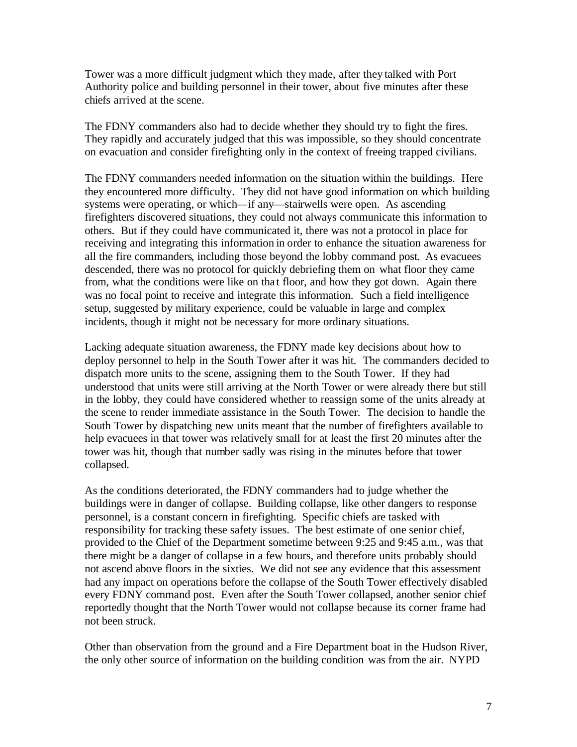Tower was a more difficult judgment which they made, after they talked with Port Authority police and building personnel in their tower, about five minutes after these chiefs arrived at the scene.

The FDNY commanders also had to decide whether they should try to fight the fires. They rapidly and accurately judged that this was impossible, so they should concentrate on evacuation and consider firefighting only in the context of freeing trapped civilians.

The FDNY commanders needed information on the situation within the buildings. Here they encountered more difficulty. They did not have good information on which building systems were operating, or which—if any—stairwells were open. As ascending firefighters discovered situations, they could not always communicate this information to others. But if they could have communicated it, there was not a protocol in place for receiving and integrating this information in order to enhance the situation awareness for all the fire commanders, including those beyond the lobby command post. As evacuees descended, there was no protocol for quickly debriefing them on what floor they came from, what the conditions were like on that floor, and how they got down. Again there was no focal point to receive and integrate this information. Such a field intelligence setup, suggested by military experience, could be valuable in large and complex incidents, though it might not be necessary for more ordinary situations.

Lacking adequate situation awareness, the FDNY made key decisions about how to deploy personnel to help in the South Tower after it was hit. The commanders decided to dispatch more units to the scene, assigning them to the South Tower. If they had understood that units were still arriving at the North Tower or were already there but still in the lobby, they could have considered whether to reassign some of the units already at the scene to render immediate assistance in the South Tower. The decision to handle the South Tower by dispatching new units meant that the number of firefighters available to help evacuees in that tower was relatively small for at least the first 20 minutes after the tower was hit, though that number sadly was rising in the minutes before that tower collapsed.

As the conditions deteriorated, the FDNY commanders had to judge whether the buildings were in danger of collapse. Building collapse, like other dangers to response personnel, is a constant concern in firefighting. Specific chiefs are tasked with responsibility for tracking these safety issues. The best estimate of one senior chief, provided to the Chief of the Department sometime between 9:25 and 9:45 a.m., was that there might be a danger of collapse in a few hours, and therefore units probably should not ascend above floors in the sixties. We did not see any evidence that this assessment had any impact on operations before the collapse of the South Tower effectively disabled every FDNY command post. Even after the South Tower collapsed, another senior chief reportedly thought that the North Tower would not collapse because its corner frame had not been struck.

Other than observation from the ground and a Fire Department boat in the Hudson River, the only other source of information on the building condition was from the air. NYPD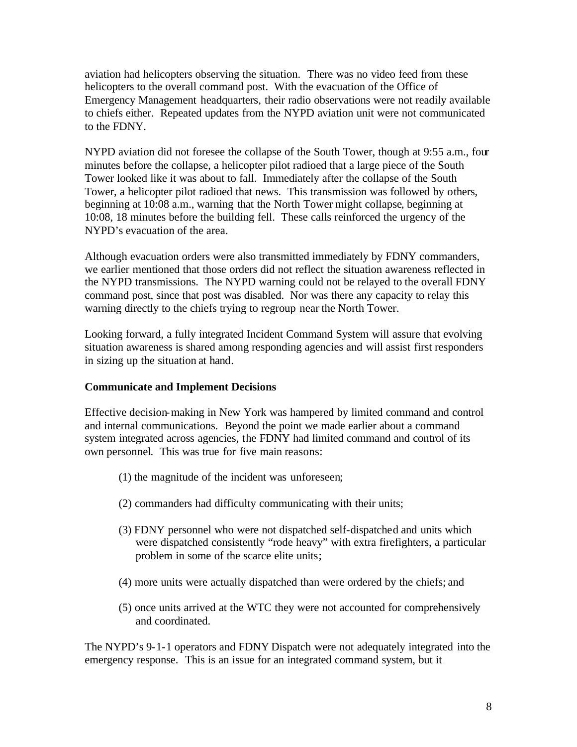aviation had helicopters observing the situation. There was no video feed from these helicopters to the overall command post. With the evacuation of the Office of Emergency Management headquarters, their radio observations were not readily available to chiefs either. Repeated updates from the NYPD aviation unit were not communicated to the FDNY.

NYPD aviation did not foresee the collapse of the South Tower, though at 9:55 a.m., four minutes before the collapse, a helicopter pilot radioed that a large piece of the South Tower looked like it was about to fall. Immediately after the collapse of the South Tower, a helicopter pilot radioed that news. This transmission was followed by others, beginning at 10:08 a.m., warning that the North Tower might collapse, beginning at 10:08, 18 minutes before the building fell. These calls reinforced the urgency of the NYPD's evacuation of the area.

Although evacuation orders were also transmitted immediately by FDNY commanders, we earlier mentioned that those orders did not reflect the situation awareness reflected in the NYPD transmissions. The NYPD warning could not be relayed to the overall FDNY command post, since that post was disabled. Nor was there any capacity to relay this warning directly to the chiefs trying to regroup near the North Tower.

Looking forward, a fully integrated Incident Command System will assure that evolving situation awareness is shared among responding agencies and will assist first responders in sizing up the situation at hand.

# **Communicate and Implement Decisions**

Effective decision-making in New York was hampered by limited command and control and internal communications. Beyond the point we made earlier about a command system integrated across agencies, the FDNY had limited command and control of its own personnel. This was true for five main reasons:

- (1) the magnitude of the incident was unforeseen;
- (2) commanders had difficulty communicating with their units;
- (3) FDNY personnel who were not dispatched self-dispatched and units which were dispatched consistently "rode heavy" with extra firefighters, a particular problem in some of the scarce elite units;
- (4) more units were actually dispatched than were ordered by the chiefs; and
- (5) once units arrived at the WTC they were not accounted for comprehensively and coordinated.

The NYPD's 9-1-1 operators and FDNY Dispatch were not adequately integrated into the emergency response. This is an issue for an integrated command system, but it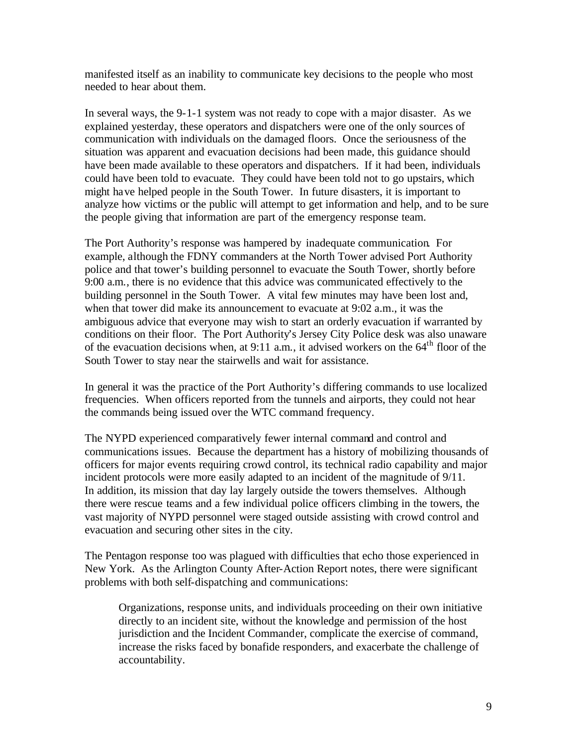manifested itself as an inability to communicate key decisions to the people who most needed to hear about them.

In several ways, the 9-1-1 system was not ready to cope with a major disaster. As we explained yesterday, these operators and dispatchers were one of the only sources of communication with individuals on the damaged floors. Once the seriousness of the situation was apparent and evacuation decisions had been made, this guidance should have been made available to these operators and dispatchers. If it had been, individuals could have been told to evacuate. They could have been told not to go upstairs, which might have helped people in the South Tower. In future disasters, it is important to analyze how victims or the public will attempt to get information and help, and to be sure the people giving that information are part of the emergency response team.

The Port Authority's response was hampered by inadequate communication. For example, although the FDNY commanders at the North Tower advised Port Authority police and that tower's building personnel to evacuate the South Tower, shortly before 9:00 a.m., there is no evidence that this advice was communicated effectively to the building personnel in the South Tower. A vital few minutes may have been lost and, when that tower did make its announcement to evacuate at 9:02 a.m., it was the ambiguous advice that everyone may wish to start an orderly evacuation if warranted by conditions on their floor. The Port Authority's Jersey City Police desk was also unaware of the evacuation decisions when, at 9:11 a.m., it advised workers on the  $64<sup>th</sup>$  floor of the South Tower to stay near the stairwells and wait for assistance.

In general it was the practice of the Port Authority's differing commands to use localized frequencies. When officers reported from the tunnels and airports, they could not hear the commands being issued over the WTC command frequency.

The NYPD experienced comparatively fewer internal command and control and communications issues. Because the department has a history of mobilizing thousands of officers for major events requiring crowd control, its technical radio capability and major incident protocols were more easily adapted to an incident of the magnitude of 9/11. In addition, its mission that day lay largely outside the towers themselves. Although there were rescue teams and a few individual police officers climbing in the towers, the vast majority of NYPD personnel were staged outside assisting with crowd control and evacuation and securing other sites in the city.

The Pentagon response too was plagued with difficulties that echo those experienced in New York. As the Arlington County After-Action Report notes, there were significant problems with both self-dispatching and communications:

Organizations, response units, and individuals proceeding on their own initiative directly to an incident site, without the knowledge and permission of the host jurisdiction and the Incident Commander, complicate the exercise of command, increase the risks faced by bonafide responders, and exacerbate the challenge of accountability.